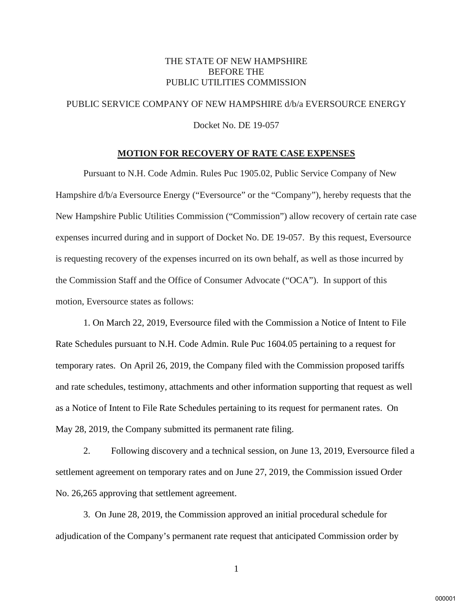### THE STATE OF NEW HAMPSHIRE BEFORE THE PUBLIC UTILITIES COMMISSION

# PUBLIC SERVICE COMPANY OF NEW HAMPSHIRE d/b/a EVERSOURCE ENERGY

Docket No. DE 19-057

#### **MOTION FOR RECOVERY OF RATE CASE EXPENSES**

Pursuant to N.H. Code Admin. Rules Puc 1905.02, Public Service Company of New Hampshire  $d/b/a$  Eversource Energy ("Eversource" or the "Company"), hereby requests that the New Hampshire Public Utilities Commission ("Commission") allow recovery of certain rate case expenses incurred during and in support of Docket No. DE 19-057. By this request, Eversource is requesting recovery of the expenses incurred on its own behalf, as well as those incurred by the Commission Staff and the Office of Consumer Advocate ("OCA"). In support of this motion, Eversource states as follows:

1. On March 22, 2019, Eversource filed with the Commission a Notice of Intent to File Rate Schedules pursuant to N.H. Code Admin. Rule Puc 1604.05 pertaining to a request for temporary rates. On April 26, 2019, the Company filed with the Commission proposed tariffs and rate schedules, testimony, attachments and other information supporting that request as well as a Notice of Intent to File Rate Schedules pertaining to its request for permanent rates. On May 28, 2019, the Company submitted its permanent rate filing.

2. Following discovery and a technical session, on June 13, 2019, Eversource filed a settlement agreement on temporary rates and on June 27, 2019, the Commission issued Order No. 26,265 approving that settlement agreement.

3. On June 28, 2019, the Commission approved an initial procedural schedule for adjudication of the Company's permanent rate request that anticipated Commission order by

1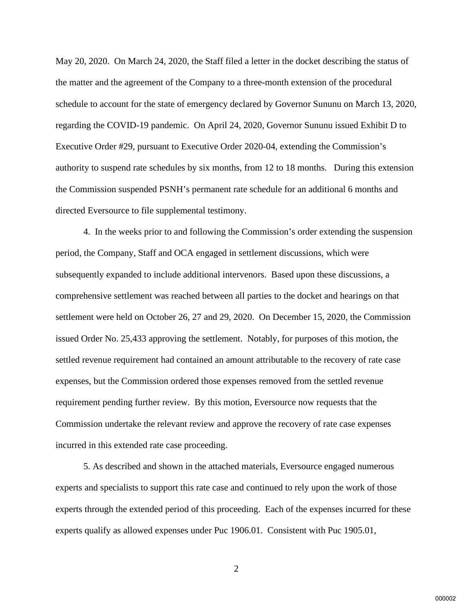May 20, 2020. On March 24, 2020, the Staff filed a letter in the docket describing the status of the matter and the agreement of the Company to a three-month extension of the procedural schedule to account for the state of emergency declared by Governor Sununu on March 13, 2020, regarding the COVID-19 pandemic. On April 24, 2020, Governor Sununu issued Exhibit D to Executive Order #29, pursuant to Executive Order 2020-04, extending the Commission's authority to suspend rate schedules by six months, from 12 to 18 months. During this extension the Commission suspended PSNH's permanent rate schedule for an additional 6 months and directed Eversource to file supplemental testimony.

4. In the weeks prior to and following the Commission's order extending the suspension period, the Company, Staff and OCA engaged in settlement discussions, which were subsequently expanded to include additional intervenors. Based upon these discussions, a comprehensive settlement was reached between all parties to the docket and hearings on that settlement were held on October 26, 27 and 29, 2020. On December 15, 2020, the Commission issued Order No. 25,433 approving the settlement. Notably, for purposes of this motion, the settled revenue requirement had contained an amount attributable to the recovery of rate case expenses, but the Commission ordered those expenses removed from the settled revenue requirement pending further review. By this motion, Eversource now requests that the Commission undertake the relevant review and approve the recovery of rate case expenses incurred in this extended rate case proceeding.

 5. As described and shown in the attached materials, Eversource engaged numerous experts and specialists to support this rate case and continued to rely upon the work of those experts through the extended period of this proceeding. Each of the expenses incurred for these experts qualify as allowed expenses under Puc 1906.01. Consistent with Puc 1905.01,

2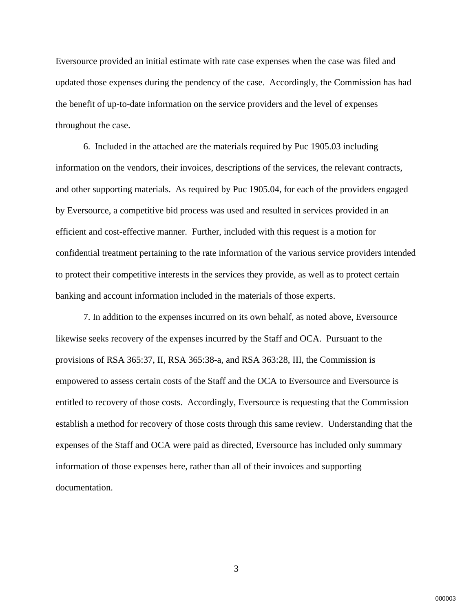Eversource provided an initial estimate with rate case expenses when the case was filed and updated those expenses during the pendency of the case. Accordingly, the Commission has had the benefit of up-to-date information on the service providers and the level of expenses throughout the case.

 6. Included in the attached are the materials required by Puc 1905.03 including information on the vendors, their invoices, descriptions of the services, the relevant contracts, and other supporting materials. As required by Puc 1905.04, for each of the providers engaged by Eversource, a competitive bid process was used and resulted in services provided in an efficient and cost-effective manner. Further, included with this request is a motion for confidential treatment pertaining to the rate information of the various service providers intended to protect their competitive interests in the services they provide, as well as to protect certain banking and account information included in the materials of those experts.

 7. In addition to the expenses incurred on its own behalf, as noted above, Eversource likewise seeks recovery of the expenses incurred by the Staff and OCA. Pursuant to the provisions of RSA 365:37, II, RSA 365:38-a, and RSA 363:28, III, the Commission is empowered to assess certain costs of the Staff and the OCA to Eversource and Eversource is entitled to recovery of those costs. Accordingly, Eversource is requesting that the Commission establish a method for recovery of those costs through this same review. Understanding that the expenses of the Staff and OCA were paid as directed, Eversource has included only summary information of those expenses here, rather than all of their invoices and supporting documentation.

3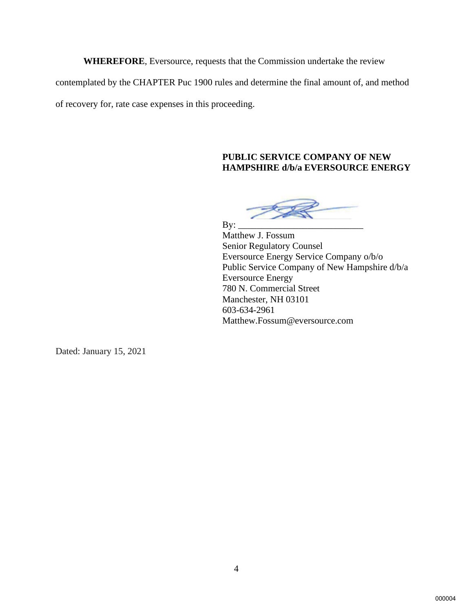**WHEREFORE**, Eversource, requests that the Commission undertake the review

contemplated by the CHAPTER Puc 1900 rules and determine the final amount of, and method

of recovery for, rate case expenses in this proceeding.

## **PUBLIC SERVICE COMPANY OF NEW HAMPSHIRE d/b/a EVERSOURCE ENERGY**

By: \_\_\_\_\_\_\_\_\_\_\_\_\_\_\_\_\_\_\_\_\_\_\_\_\_\_\_

Matthew J. Fossum Senior Regulatory Counsel Eversource Energy Service Company o/b/o Public Service Company of New Hampshire d/b/a Eversource Energy 780 N. Commercial Street Manchester, NH 03101 603-634-2961 Matthew.Fossum@eversource.com

Dated: January 15, 2021